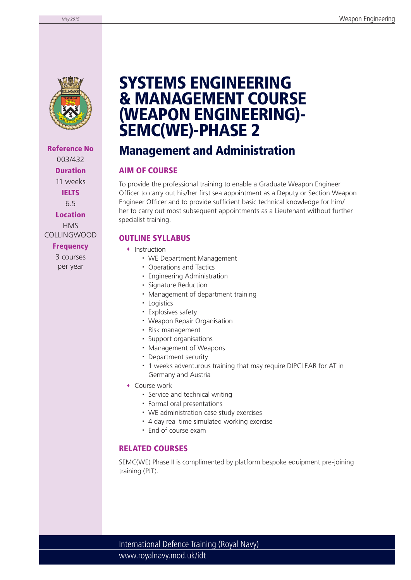

**Reference No** 003/432 **Duration** 11 weeks **IELTS** 6.5 **Location** HMS COLLINGWOOD **Frequency**

> 3 courses per year

# **SYSTEMS ENGINEERING & MANAGEMENT COURSE (WEAPON ENGINEERING)- SEMC(WE)-PHASE 2**

### **Management and Administration**

### **AIM OF COURSE**

To provide the professional training to enable a Graduate Weapon Engineer Officer to carry out his/her first sea appointment as a Deputy or Section Weapon Engineer Officer and to provide sufficient basic technical knowledge for him/ her to carry out most subsequent appointments as a Lieutenant without further specialist training.

### **OUTLINE SYLLABUS**

- Instruction
	- WE Department Management
	- Operations and Tactics
	- Engineering Administration
	- Signature Reduction
	- Management of department training
	- Logistics
	- Explosives safety
	- Weapon Repair Organisation
	- Risk management
	- Support organisations
	- Management of Weapons
	- Department security
	- 1 weeks adventurous training that may require DIPCLEAR for AT in Germany and Austria
- Course work
	- Service and technical writing
	- Formal oral presentations
	- WE administration case study exercises
	- 4 day real time simulated working exercise
	- Fnd of course exam

### **RELATED COURSES**

SEMC(WE) Phase II is complimented by platform bespoke equipment pre-joining training (PJT).

www.royalnavy.mod.uk/idt International Defence Training (Royal Navy)